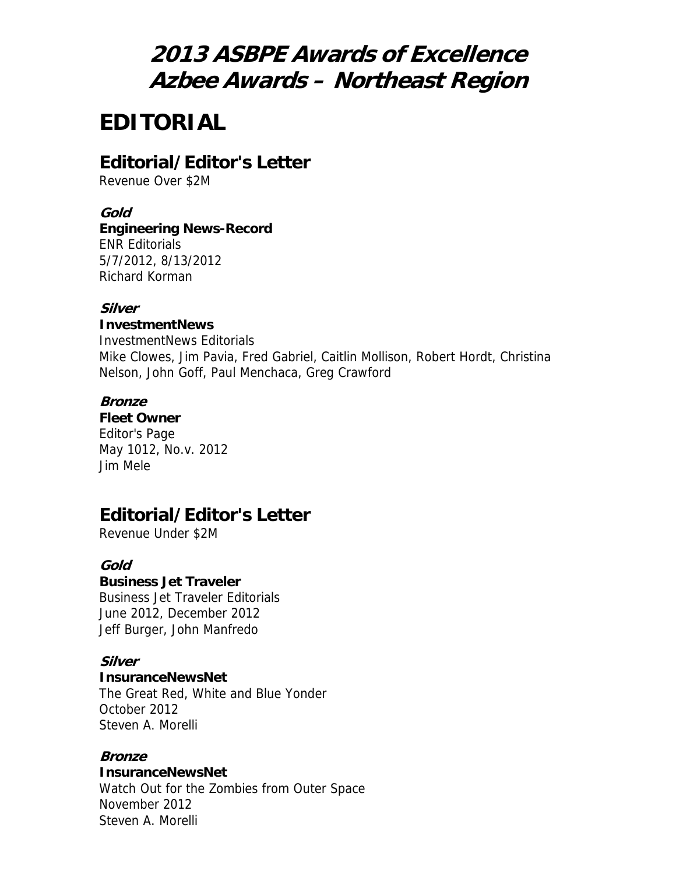# **2013 ASBPE Awards of Excellence Azbee Awards – Northeast Region**

# **EDITORIAL**

## **Editorial/Editor's Letter**

Revenue Over \$2M

#### **Gold**

## **Engineering News-Record**

ENR Editorials 5/7/2012, 8/13/2012 Richard Korman

#### **Silver**

#### **InvestmentNews**

InvestmentNews Editorials Mike Clowes, Jim Pavia, Fred Gabriel, Caitlin Mollison, Robert Hordt, Christina Nelson, John Goff, Paul Menchaca, Greg Crawford

#### **Bronze**

**Fleet Owner** Editor's Page May 1012, No.v. 2012 Jim Mele

## **Editorial/Editor's Letter**

Revenue Under \$2M

#### **Gold**

#### **Business Jet Traveler**

Business Jet Traveler Editorials June 2012, December 2012 Jeff Burger, John Manfredo

#### **Silver**

#### **InsuranceNewsNet**

The Great Red, White and Blue Yonder October 2012 Steven A. Morelli

#### **Bronze**

#### **InsuranceNewsNet**

Watch Out for the Zombies from Outer Space November 2012 Steven A. Morelli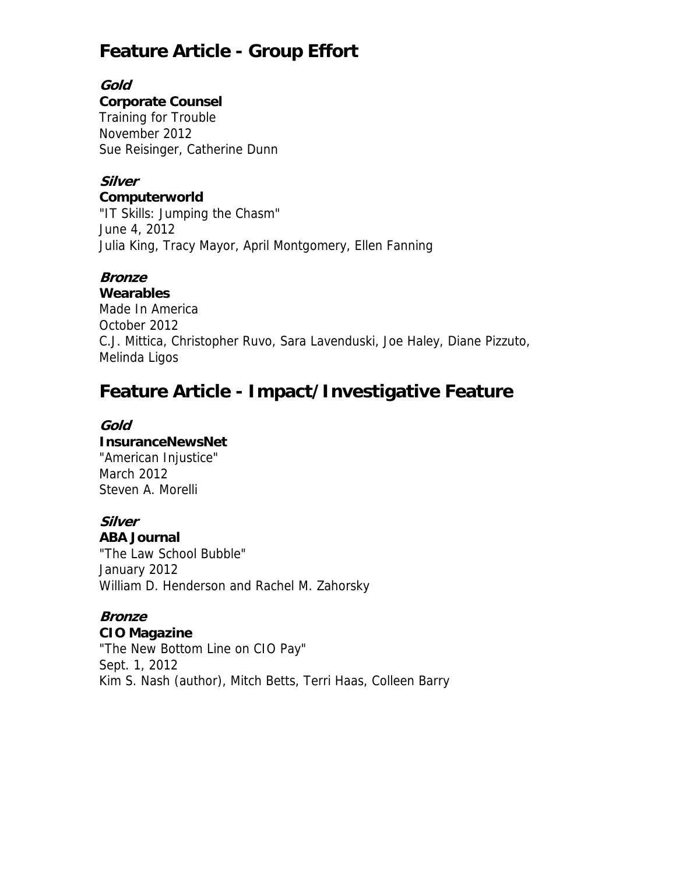## **Feature Article - Group Effort**

**Gold** 

### **Corporate Counsel**

Training for Trouble November 2012 Sue Reisinger, Catherine Dunn

## **Silver**

**Computerworld** "IT Skills: Jumping the Chasm" June 4, 2012 Julia King, Tracy Mayor, April Montgomery, Ellen Fanning

## **Bronze**

**Wearables**

Made In America October 2012 C.J. Mittica, Christopher Ruvo, Sara Lavenduski, Joe Haley, Diane Pizzuto, Melinda Ligos

# **Feature Article - Impact/Investigative Feature**

### **Gold**

#### **InsuranceNewsNet**

"American Injustice" March 2012 Steven A. Morelli

#### **Silver ABA Journal**

"The Law School Bubble" January 2012 William D. Henderson and Rachel M. Zahorsky

# **Bronze**

**CIO Magazine**

"The New Bottom Line on CIO Pay" Sept. 1, 2012 Kim S. Nash (author), Mitch Betts, Terri Haas, Colleen Barry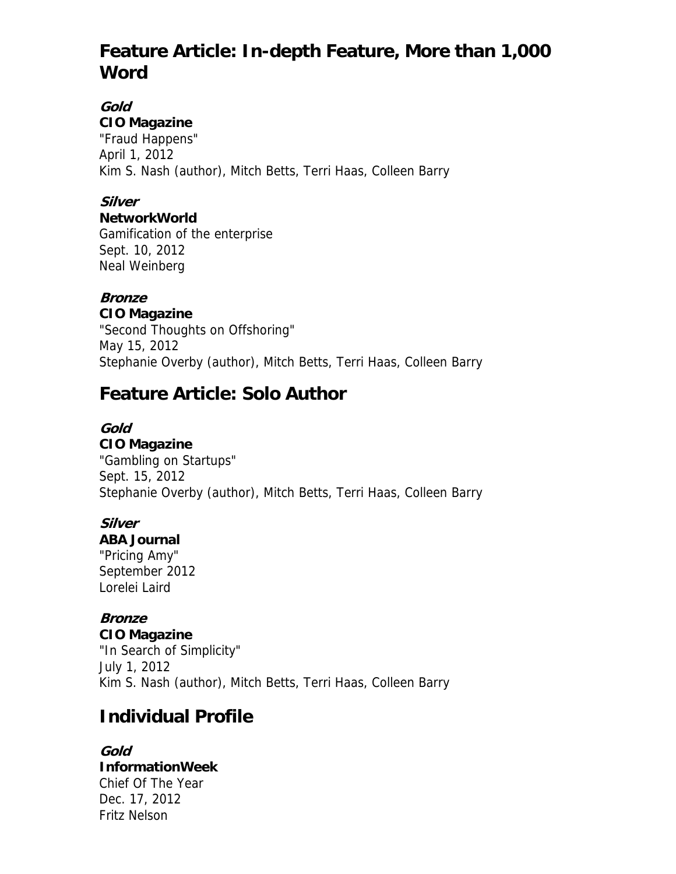## **Feature Article: In-depth Feature, More than 1,000 Word**

#### **Gold CIO Magazine**

"Fraud Happens" April 1, 2012 Kim S. Nash (author), Mitch Betts, Terri Haas, Colleen Barry

## **Silver**

### **NetworkWorld**

Gamification of the enterprise Sept. 10, 2012 Neal Weinberg

## **Bronze**

**CIO Magazine** "Second Thoughts on Offshoring" May 15, 2012 Stephanie Overby (author), Mitch Betts, Terri Haas, Colleen Barry

## **Feature Article: Solo Author**

## **Gold**

**CIO Magazine** "Gambling on Startups" Sept. 15, 2012 Stephanie Overby (author), Mitch Betts, Terri Haas, Colleen Barry

## **Silver**

## **ABA Journal**

"Pricing Amy" September 2012 Lorelei Laird

## **Bronze**

**CIO Magazine** "In Search of Simplicity" July 1, 2012 Kim S. Nash (author), Mitch Betts, Terri Haas, Colleen Barry

## **Individual Profile**

**Gold InformationWeek** Chief Of The Year Dec. 17, 2012 Fritz Nelson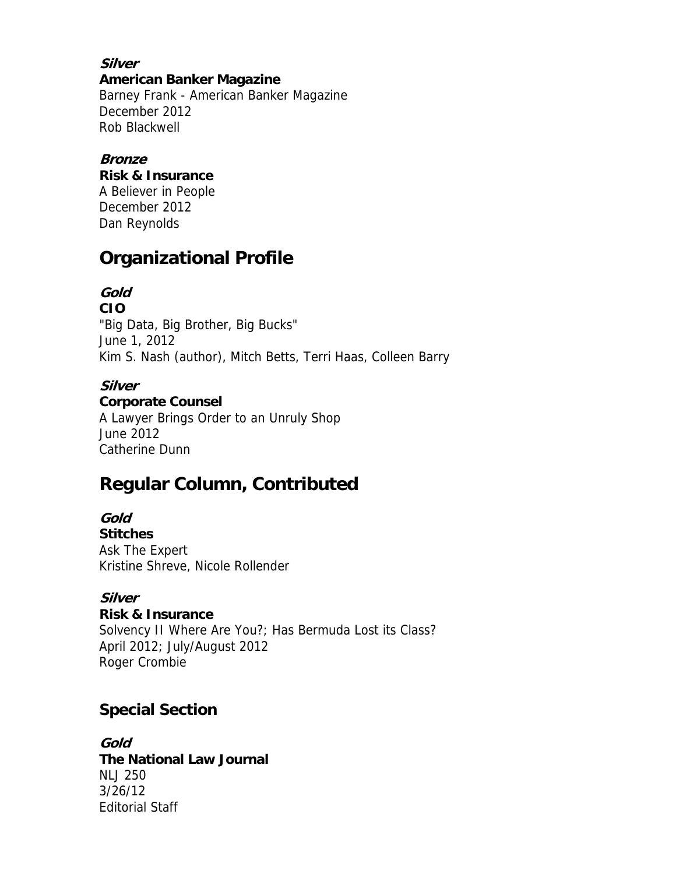**Silver American Banker Magazine** Barney Frank - American Banker Magazine December 2012 Rob Blackwell

#### **Bronze**

**Risk & Insurance**

A Believer in People December 2012 Dan Reynolds

## **Organizational Profile**

## **Gold**

**CIO** "Big Data, Big Brother, Big Bucks" June 1, 2012 Kim S. Nash (author), Mitch Betts, Terri Haas, Colleen Barry

### **Silver**

#### **Corporate Counsel**

A Lawyer Brings Order to an Unruly Shop June 2012 Catherine Dunn

## **Regular Column, Contributed**

**Gold Stitches** Ask The Expert Kristine Shreve, Nicole Rollender

### **Silver**

**Risk & Insurance** Solvency II Where Are You?; Has Bermuda Lost its Class? April 2012; July/August 2012 Roger Crombie

## **Special Section**

**Gold The National Law Journal** NLJ 250 3/26/12 Editorial Staff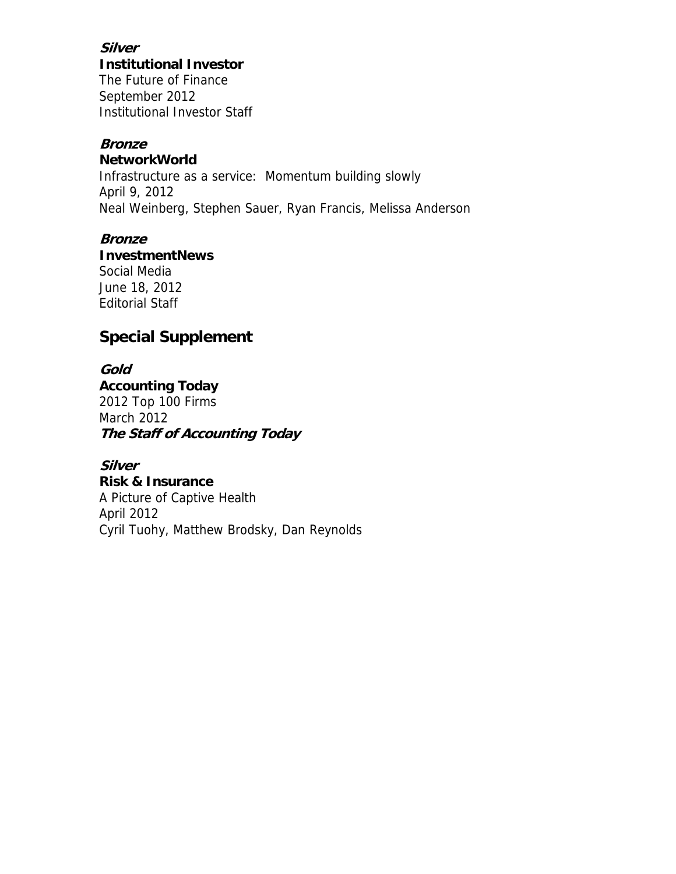**Silver Institutional Investor**

The Future of Finance September 2012 Institutional Investor Staff

#### **Bronze**

#### **NetworkWorld**

Infrastructure as a service: Momentum building slowly April 9, 2012 Neal Weinberg, Stephen Sauer, Ryan Francis, Melissa Anderson

#### **Bronze**

**InvestmentNews** Social Media

June 18, 2012 Editorial Staff

## **Special Supplement**

**Gold Accounting Today** 2012 Top 100 Firms March 2012 **The Staff of Accounting Today** 

**Silver Risk & Insurance** A Picture of Captive Health April 2012 Cyril Tuohy, Matthew Brodsky, Dan Reynolds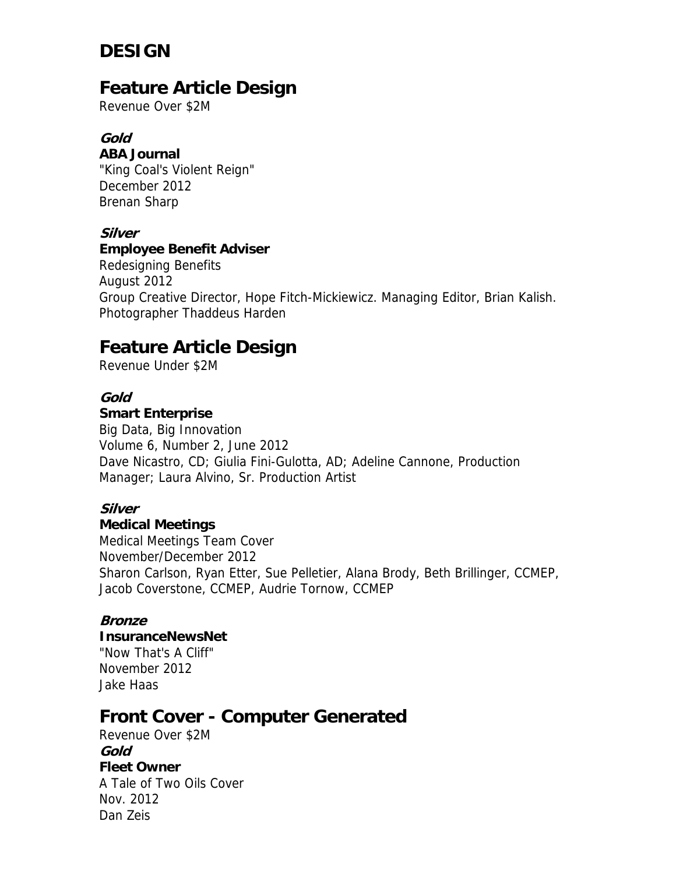# **DESIGN**

## **Feature Article Design**

Revenue Over \$2M

### **Gold**

#### **ABA Journal**

"King Coal's Violent Reign" December 2012 Brenan Sharp

### **Silver**

### **Employee Benefit Adviser**

Redesigning Benefits August 2012 Group Creative Director, Hope Fitch-Mickiewicz. Managing Editor, Brian Kalish. Photographer Thaddeus Harden

## **Feature Article Design**

Revenue Under \$2M

### **Gold**

#### **Smart Enterprise**

Big Data, Big Innovation Volume 6, Number 2, June 2012 Dave Nicastro, CD; Giulia Fini-Gulotta, AD; Adeline Cannone, Production Manager; Laura Alvino, Sr. Production Artist

## **Silver**

### **Medical Meetings**

Medical Meetings Team Cover November/December 2012 Sharon Carlson, Ryan Etter, Sue Pelletier, Alana Brody, Beth Brillinger, CCMEP, Jacob Coverstone, CCMEP, Audrie Tornow, CCMEP

### **Bronze**

## **InsuranceNewsNet**

"Now That's A Cliff" November 2012 Jake Haas

## **Front Cover - Computer Generated**

Revenue Over \$2M **Gold Fleet Owner** A Tale of Two Oils Cover Nov. 2012 Dan Zeis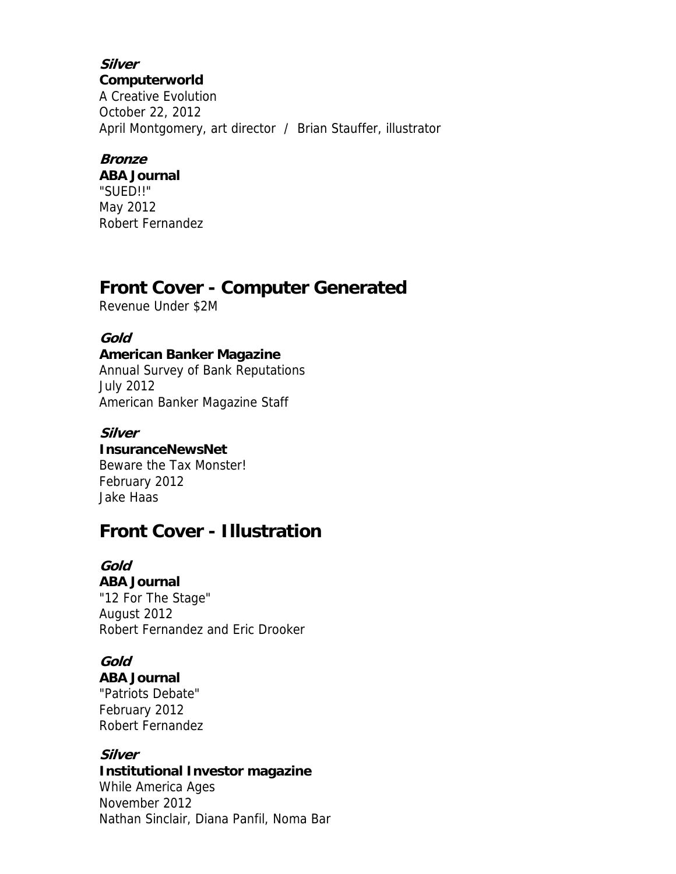**Silver Computerworld** A Creative Evolution October 22, 2012 April Montgomery, art director / Brian Stauffer, illustrator

### **Bronze**

**ABA Journal** "SUED!!" May 2012 Robert Fernandez

## **Front Cover - Computer Generated**

Revenue Under \$2M

## **Gold**

## **American Banker Magazine**

Annual Survey of Bank Reputations July 2012 American Banker Magazine Staff

## **Silver**

**InsuranceNewsNet**

Beware the Tax Monster! February 2012 Jake Haas

## **Front Cover - Illustration**

## **Gold**

**ABA Journal** "12 For The Stage" August 2012 Robert Fernandez and Eric Drooker

## **Gold**

**ABA Journal**

"Patriots Debate" February 2012 Robert Fernandez

### **Silver**

### **Institutional Investor magazine**

While America Ages November 2012 Nathan Sinclair, Diana Panfil, Noma Bar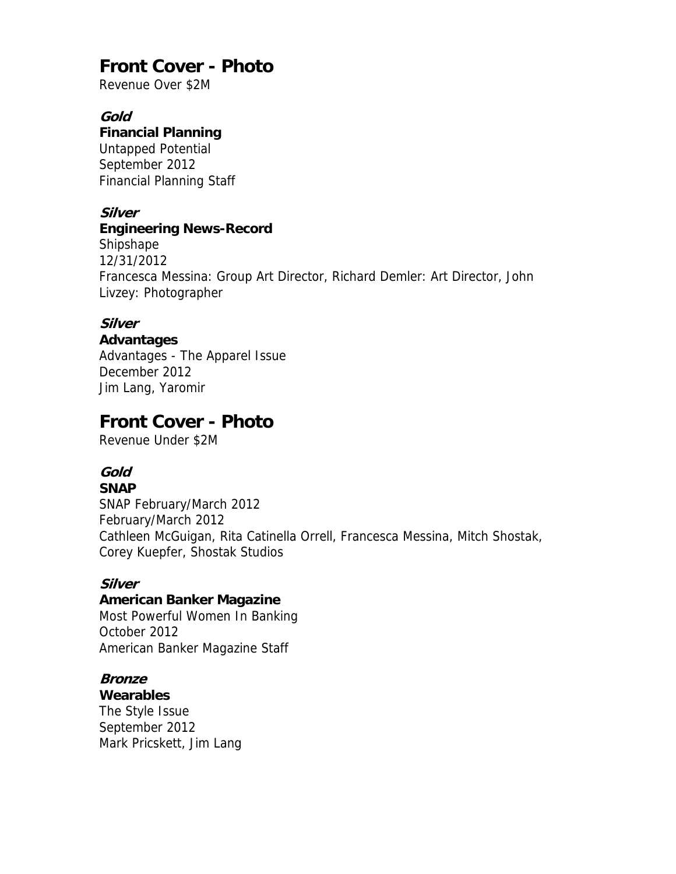## **Front Cover - Photo**

Revenue Over \$2M

### **Gold**

#### **Financial Planning**

Untapped Potential September 2012 Financial Planning Staff

### **Silver**

### **Engineering News-Record**

Shipshape 12/31/2012 Francesca Messina: Group Art Director, Richard Demler: Art Director, John Livzey: Photographer

## **Silver**

**Advantages**

Advantages - The Apparel Issue December 2012 Jim Lang, Yaromir

## **Front Cover - Photo**

Revenue Under \$2M

## **Gold**

#### **SNAP**

SNAP February/March 2012 February/March 2012 Cathleen McGuigan, Rita Catinella Orrell, Francesca Messina, Mitch Shostak, Corey Kuepfer, Shostak Studios

### **Silver**

## **American Banker Magazine**

Most Powerful Women In Banking October 2012 American Banker Magazine Staff

### **Bronze**

**Wearables** The Style Issue September 2012 Mark Pricskett, Jim Lang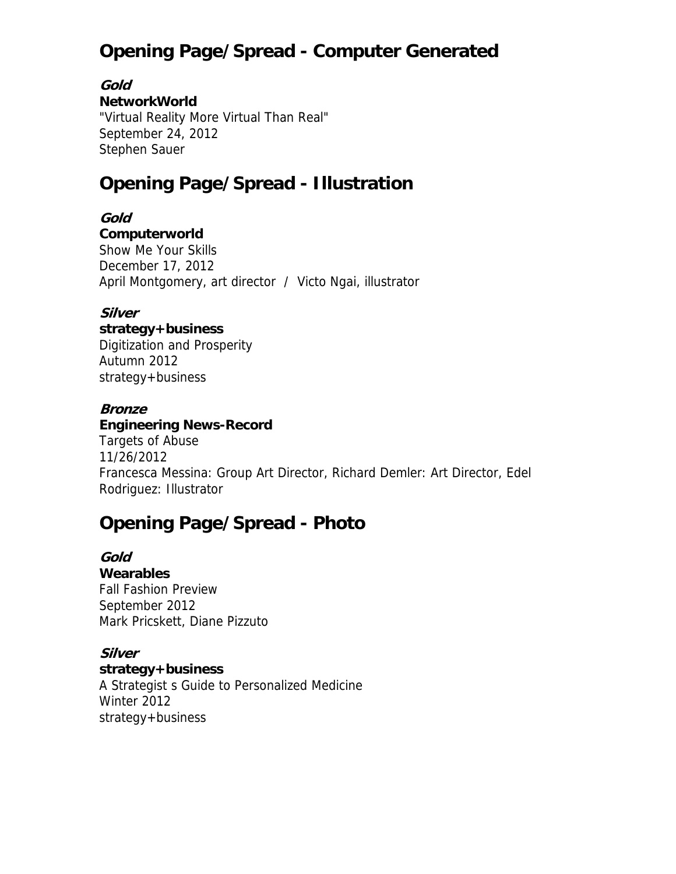# **Opening Page/Spread - Computer Generated**

**Gold** 

### **NetworkWorld**

"Virtual Reality More Virtual Than Real" September 24, 2012 Stephen Sauer

# **Opening Page/Spread - Illustration**

**Gold Computerworld** Show Me Your Skills December 17, 2012 April Montgomery, art director / Victo Ngai, illustrator

### **Silver**

**strategy+business**

Digitization and Prosperity Autumn 2012 strategy+business

### **Bronze**

**Engineering News-Record**

Targets of Abuse 11/26/2012 Francesca Messina: Group Art Director, Richard Demler: Art Director, Edel Rodriguez: Illustrator

# **Opening Page/Spread - Photo**

**Gold Wearables** Fall Fashion Preview September 2012 Mark Pricskett, Diane Pizzuto

**Silver strategy+business** A Strategist s Guide to Personalized Medicine Winter 2012 strategy+business